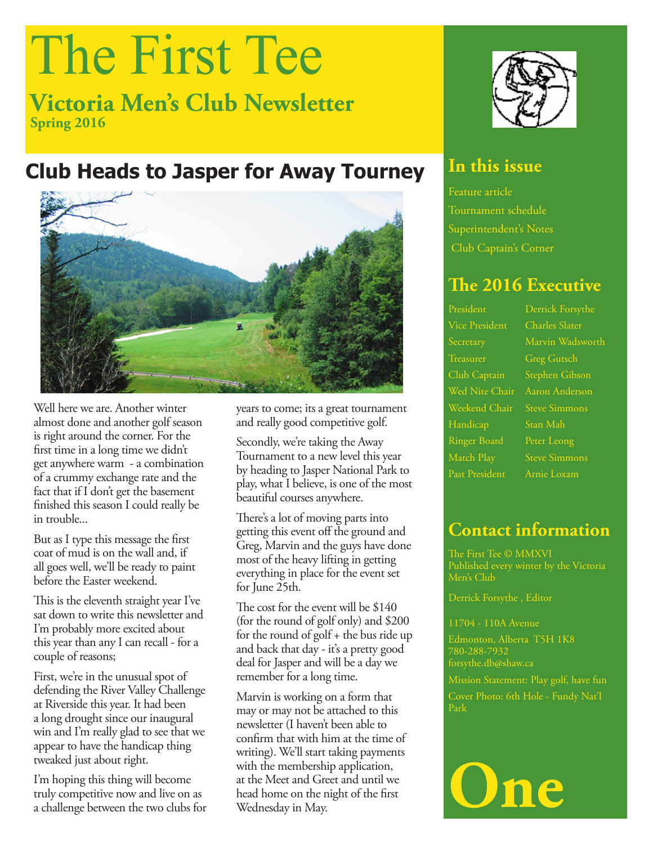# The First Tee

**Victoria Men's Club Newsletter Spring 2016**

## **Club Heads to Jasper for Away Tourney**



Well here we are. Another winter almost done and another golf season is right around the corner. For the first time in a long time we didn't get anywhere warm - a combination of a crummy exchange rate and the fact that if I don't get the basement finished this season I could really be in trouble...

But as I type this message the first coat of mud is on the wall and, if all goes well, we'll be ready to paint before the Easter weekend.

This is the eleventh straight year I've sat down to write this newsletter and I'm probably more excited about this year than any I can recall - for a couple of reasons;

First, we're in the unusual spot of defending the River Valley Challenge at Riverside this year. It had been a long drought since our inaugural win and I'm really glad to see that we appear to have the handicap thing tweaked just about right.

I'm hoping this thing will become truly competitive now and live on as a challenge between the two clubs for years to come; its a great tournament and really good competitive golf.

Secondly, we're taking the Away Tournament to a new level this year by heading to Jasper National Park to play, what I believe, is one of the most beautiful courses anywhere.

There's a lot of moving parts into getting this event off the ground and Greg, Marvin and the guys have done most of the heavy lifting in getting everything in place for the event set for June 25th.

The cost for the event will be \$140 (for the round of golf only) and \$200 for the round of golf + the bus ride up and back that day - it's a pretty good deal for Jasper and will be a day we remember for a long time.

Marvin is working on a form that may or may not be attached to this newsletter (I haven't been able to confirm that with him at the time of writing). We'll start taking payments with the membership application, at the Meet and Greet and until we head home on the night of the first Wednesday in May.



### **In this issue**

Feature article Tournament schedule Superintendent's Notes Club Captain's Corner

### **The 2016 Executive**

Vice President Charles Slater Treasurer Greg Gutsch Club Captain Stephen Gibson Weekend Chair Steve Simmons Handicap Stan Mah Ringer Board Peter Leong Match Play Steve Simmons Past President Arnie Loxam

## **Contact information**

The First Tee © MMXVI Men's Club

Derrick Forsythe , Editor

#### 11704 - 110A Avenue

Edmonton, Alberta T5H 1K8 780-288-7932 forsythe.db@shaw.ca

Mission Statement: Play golf, have fun Cover Photo: 6th Hole - Fundy Nat'l Park

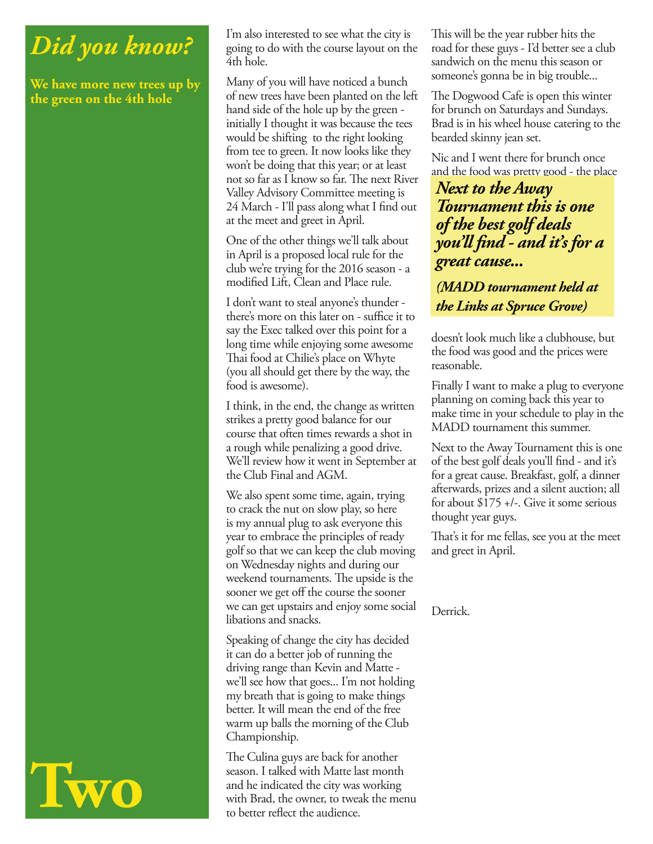## *Did you know?*

**We have more new trees up by the green on the 4th hole**

I'm also interested to see what the city is going to do with the course layout on the 4th hole.

Many of you will have noticed a bunch of new trees have been planted on the left hand side of the hole up by the green initially I thought it was because the tees would be shifting to the right looking from tee to green. It now looks like they won't be doing that this year; or at least not so far as I know so far. The next River Valley Advisory Committee meeting is 24 March - I'll pass along what I find out at the meet and greet in April.

One of the other things we'll talk about in April is a proposed local rule for the club we're trying for the 2016 season - a modified Lift, Clean and Place rule.

I don't want to steal anyone's thunder there's more on this later on - suffice it to say the Exec talked over this point for a long time while enjoying some awesome Thai food at Chilie's place on Whyte (you all should get there by the way, the food is awesome).

I think, in the end, the change as written strikes a pretty good balance for our course that often times rewards a shot in a rough while penalizing a good drive. We'll review how it went in September at the Club Final and AGM.

We also spent some time, again, trying to crack the nut on slow play, so here is my annual plug to ask everyone this year to embrace the principles of ready golf so that we can keep the club moving on Wednesday nights and during our weekend tournaments. The upside is the sooner we get off the course the sooner we can get upstairs and enjoy some social libations and snacks.

Speaking of change the city has decided it can do a better job of running the driving range than Kevin and Matte we'll see how that goes... I'm not holding my breath that is going to make things better. It will mean the end of the free warm up balls the morning of the Club Championship.

The Culina guys are back for another season. I talked with Matte last month and he indicated the city was working with Brad, the owner, to tweak the menu to better reflect the audience.

This will be the year rubber hits the road for these guys - I'd better see a club sandwich on the menu this season or someone's gonna be in big trouble...

The Dogwood Cafe is open this winter for brunch on Saturdays and Sundays. Brad is in his wheel house catering to the bearded skinny jean set.

Nic and I went there for brunch once and the food was pretty good - the place

*Next to the Away Tournament this is one of the best golf deals you'll fi nd - and it's for a great cause...*

*(MADD tournament held at MADD tournament held at the Links at Spruce Grove)*

doesn't look much like a clubhouse, but the food was good and the prices were reasonable.

Finally I want to make a plug to everyone planning on coming back this year to make time in your schedule to play in the MADD tournament this summer.

Next to the Away Tournament this is one of the best golf deals you'll find - and it's for a great cause. Breakfast, golf, a dinner afterwards, prizes and a silent auction; all for about \$175 +/-. Give it some serious thought year guys.

That's it for me fellas, see you at the meet and greet in April.

Derrick.

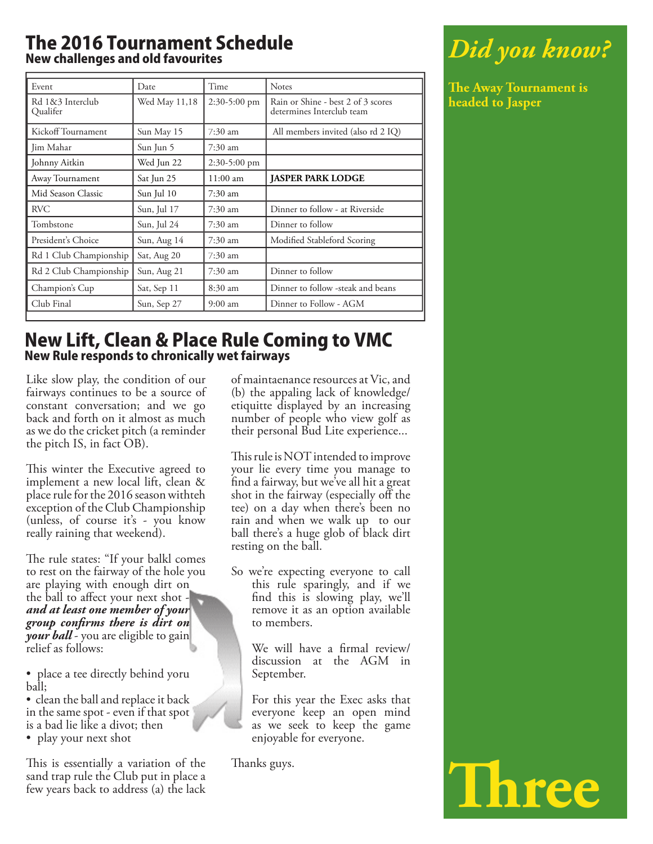#### The 2016 Tournament Schedule New challenges and old favourites

| Event                        | Date          | Time              | <b>Notes</b>                                                    |
|------------------------------|---------------|-------------------|-----------------------------------------------------------------|
| Rd 1&3 Interclub<br>Oualifer | Wed May 11,18 | $2:30-5:00$ pm    | Rain or Shine - best 2 of 3 scores<br>determines Interclub team |
| Kickoff Tournament           | Sun May 15    | $7:30$ am         | All members invited (also rd 2 IQ)                              |
| Jim Mahar                    | Sun Jun 5     | $7:30 \text{ am}$ |                                                                 |
| Johnny Aitkin                | Wed Jun 22    | $2:30-5:00$ pm    |                                                                 |
| Away Tournament              | Sat Jun 25    | 11:00 am          | <b>JASPER PARK LODGE</b>                                        |
| Mid Season Classic           | Sun Jul 10    | 7:30 am           |                                                                 |
| <b>RVC</b>                   | Sun, Jul 17   | $7:30 \text{ am}$ | Dinner to follow - at Riverside                                 |
| Tombstone                    | Sun, Jul 24   | 7:30 am           | Dinner to follow                                                |
| President's Choice           | Sun, Aug 14   | $7:30 \text{ am}$ | Modified Stableford Scoring                                     |
| Rd 1 Club Championship       | Sat, Aug 20   | $7:30 \text{ am}$ |                                                                 |
| Rd 2 Club Championship       | Sun, Aug 21   | $7:30$ am         | Dinner to follow                                                |
| Champion's Cup               | Sat, Sep 11   | $8:30 \text{ am}$ | Dinner to follow -steak and beans                               |
| Club Final                   | Sun, Sep 27   | $9:00 \text{ am}$ | Dinner to Follow - AGM                                          |
|                              |               |                   |                                                                 |

#### New Lift, Clean & Place Rule Coming to VMC New Rule responds to chronically wet fairways

Like slow play, the condition of our fairways continues to be a source of constant conversation; and we go back and forth on it almost as much as we do the cricket pitch (a reminder the pitch IS, in fact OB).

This winter the Executive agreed to implement a new local lift, clean & place rule for the 2016 season withteh exception of the Club Championship (unless, of course it's - you know really raining that weekend).

The rule states: "If your balkl comes" to rest on the fairway of the hole you are playing with enough dirt on the ball to affect your next shot  $$ *and at least one member of your group confi rms there is dirt on your ball* - you are eligible to gain relief as follows:

• place a tee directly behind yoru ball;

• clean the ball and replace it back in the same spot - even if that spot is a bad lie like a divot; then

• play your next shot

This is essentially a variation of the sand trap rule the Club put in place a few years back to address (a) the lack

of maintaenance resources at Vic, and (b) the appaling lack of knowledge/ etiquitte displayed by an increasing number of people who view golf as their personal Bud Lite experience...

This rule is NOT intended to improve your lie every time you manage to find a fairway, but we've all hit a great shot in the fairway (especially off the tee) on a day when there's been no rain and when we walk up to our ball there's a huge glob of black dirt resting on the ball.

So we're expecting everyone to call this rule sparingly, and if we find this is slowing play, we'll remove it as an option available to members.

> We will have a firmal review/ discussion at the AGM in September.

For this year the Exec asks that everyone keep an open mind as we seek to keep the game enjoyable for everyone.

Thanks guys.

# *Did you know?*

**The Away Tournament is headed to Jasper** 

**Th ree**